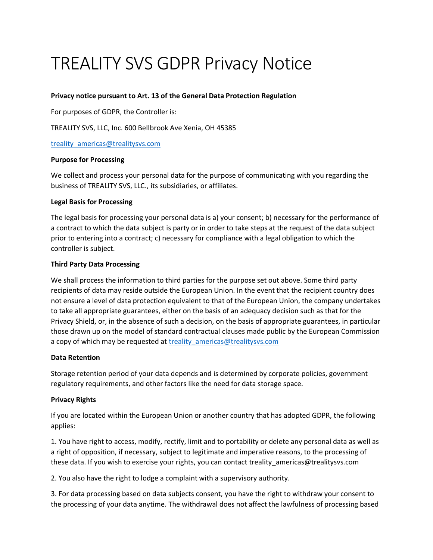# TREALITY SVS GDPR Privacy Notice

## **Privacy notice pursuant to Art. 13 of the General Data Protection Regulation**

For purposes of GDPR, the Controller is:

TREALITY SVS, LLC, Inc. 600 Bellbrook Ave Xenia, OH 45385

[treality\\_americas@trealitysvs.com](file:///C:/Users/alenav60419/Desktop/treality_americas@trealitysvs.com)

## **Purpose for Processing**

We collect and process your personal data for the purpose of communicating with you regarding the business of TREALITY SVS, LLC., its subsidiaries, or affiliates.

## **Legal Basis for Processing**

The legal basis for processing your personal data is a) your consent; b) necessary for the performance of a contract to which the data subject is party or in order to take steps at the request of the data subject prior to entering into a contract; c) necessary for compliance with a legal obligation to which the controller is subject.

#### **Third Party Data Processing**

We shall process the information to third parties for the purpose set out above. Some third party recipients of data may reside outside the European Union. In the event that the recipient country does not ensure a level of data protection equivalent to that of the European Union, the company undertakes to take all appropriate guarantees, either on the basis of an adequacy decision such as that for the Privacy Shield, or, in the absence of such a decision, on the basis of appropriate guarantees, in particular those drawn up on the model of standard contractual clauses made public by the European Commission a copy of which may be requested at treality americas@trealitysvs.com

## **Data Retention**

Storage retention period of your data depends and is determined by corporate policies, government regulatory requirements, and other factors like the need for data storage space.

## **Privacy Rights**

If you are located within the European Union or another country that has adopted GDPR, the following applies:

1. You have right to access, modify, rectify, limit and to portability or delete any personal data as well as a right of opposition, if necessary, subject to legitimate and imperative reasons, to the processing of these data. If you wish to exercise your rights, you can contact treality\_americas@trealitysvs.com

2. You also have the right to lodge a complaint with a supervisory authority.

3. For data processing based on data subjects consent, you have the right to withdraw your consent to the processing of your data anytime. The withdrawal does not affect the lawfulness of processing based